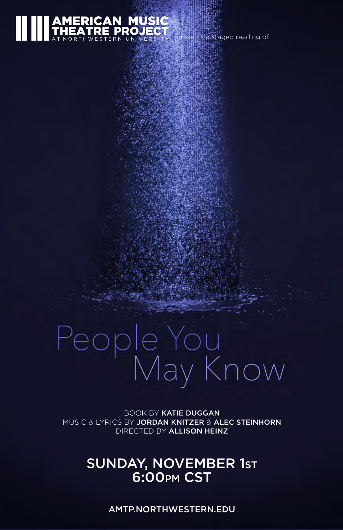# ERICAN MUSIC **TRE PROJECT**

its a staged reading of

# People You<br>May Know

BOOK BY KATIE DUGGAN MUSIC & LYRICS BY JORDAN KNITZER & ALEC STEINHORN DIRECTED BY ALLISON HEINZ

## SUNDAY, NOVEMBER 1st **6:00pm CS**

AMTP.NORTHWESTERN.EDU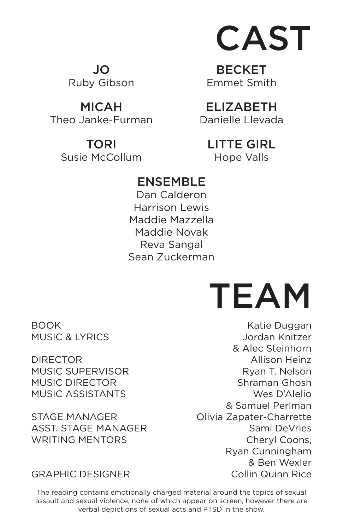

JO Ruby Gibson

MICAH Theo Janke-Furman

> TORI Susie McCollum

**BECKET** Emmet Smith

ELIZABETH Danielle Llevada

LITTE GIRL Hope Valls

### ENSEMBLE

Dan Calderon Harrison Lewis Maddie Mazzella Maddie Novak Reva Sangal Sean Zuckerman

BOOK MUSIC & LYRICS

DIRECTOR MUSIC SUPERVISOR MUSIC DIRECTOR MUSIC ASSISTANTS

STAGE MANAGER ASST. STAGE MANAGER WRITING MENTORS

GRAPHIC DESIGNER

The reading contains emotionally charged material around the topics of sexual assault and sexual violence, none of which appear on screen, however there are verbal depictions of sexual acts and PTSD in the show.



Katie Duggan Jordan Knitzer & Alec Steinhorn Allison Heinz Ryan T. Nelson Shraman Ghosh Wes D'Alelio & Samuel Perlman Olivia Zapater-Charrette Sami DeVries Cheryl Coons, Ryan Cunningham & Ben Wexler Collin Quinn Rice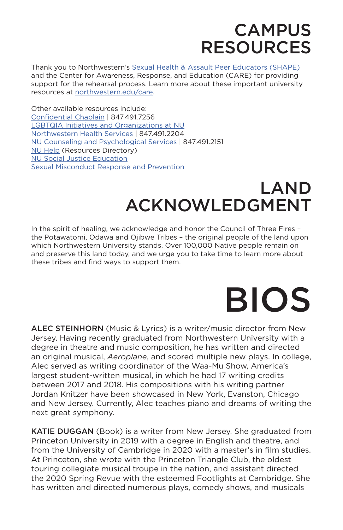# **CAMPUS** RESOURCES

Thank you to Northwestern's [Sexual Health & Assault Peer Educators \(SHAPE\)](https://shapenu.wordpress.com/) and the Center for Awareness, Response, and Education (CARE) for providing support for the rehearsal process. Learn more about these important university resources at [northwestern.edu/care.](http://www.northwestern.edu/care)

Other available resources include: [Confidential Chaplain](https://www.northwestern.edu/religious-life/need-to-talk/index.html) | 847.491.7256 [LGBTQIA Initiatives and Organizations at NU](https://www.northwestern.edu/msa/lgbtqia/) [Northwestern Health Services](http://northwestern.edu/healthservice-evanston) | 847.491.2204 [NU Counseling and Psychological Services](http://northwestern.edu/counseling) | 847.491.2151 [NU Help](https://www.northwestern.edu/nuhelp/index.html) (Resources Directory) [NU Social Justice Education](https://www.northwestern.edu/socialjustice/) [Sexual Misconduct Response and Prevention](https://www.northwestern.edu/sexual-misconduct/)

# LAND ACKNOWLEDGMENT

In the spirit of healing, we acknowledge and honor the Council of Three Fires – the Potawatomi, Odawa and Ojibwe Tribes – the original people of the land upon which Northwestern University stands. Over 100,000 Native people remain on and preserve this land today, and we urge you to take time to learn more about these tribes and find ways to support them.

# BIOS

ALEC STEINHORN (Music & Lyrics) is a writer/music director from New Jersey. Having recently graduated from Northwestern University with a degree in theatre and music composition, he has written and directed an original musical, *Aeroplane*, and scored multiple new plays. In college, Alec served as writing coordinator of the Waa-Mu Show, America's largest student-written musical, in which he had 17 writing credits between 2017 and 2018. His compositions with his writing partner Jordan Knitzer have been showcased in New York, Evanston, Chicago and New Jersey. Currently, Alec teaches piano and dreams of writing the next great symphony.

KATIE DUGGAN (Book) is a writer from New Jersey. She graduated from Princeton University in 2019 with a degree in English and theatre, and from the University of Cambridge in 2020 with a master's in film studies. At Princeton, she wrote with the Princeton Triangle Club, the oldest touring collegiate musical troupe in the nation, and assistant directed the 2020 Spring Revue with the esteemed Footlights at Cambridge. She has written and directed numerous plays, comedy shows, and musicals